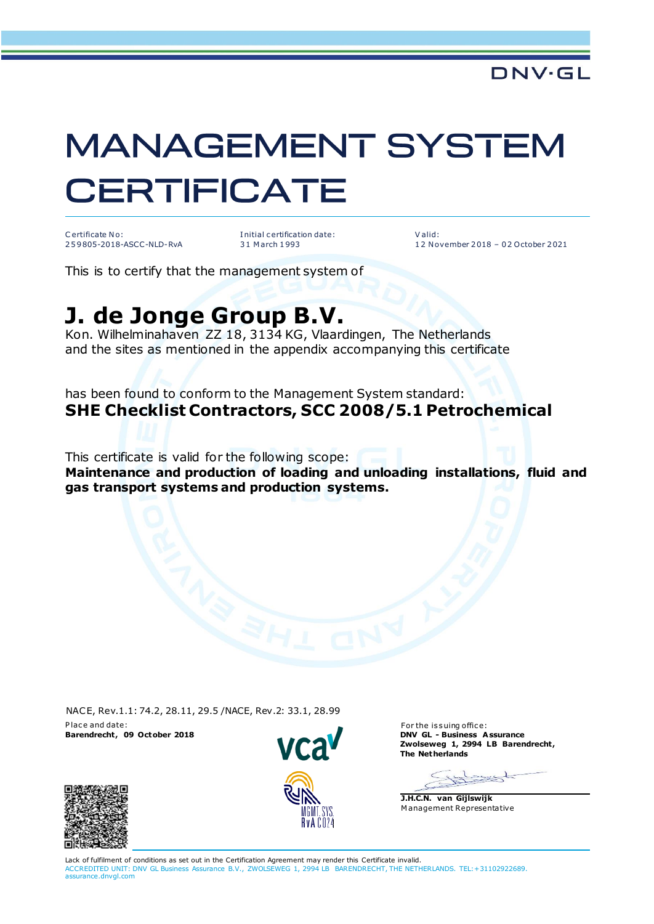## **MANAGEMENT SYSTEM CERTIFICATE**

C ertificate No: 2 5 9 805-2018-ASCC-NLD-RvA I nitial c ertification date: 3 1 M arch 1 993

V alid: 1 2 N ovember 2 018 – 0 2 October 2 021

This is to certify that the management system of

## **J. de Jonge Group B.V.**

Kon. Wilhelminahaven ZZ 18, 3134 KG, Vlaardingen, The Netherlands and the sites as mentioned in the appendix accompanying this certificate

has been found to conform to the Management System standard: **SHE Checklist Contractors, SCC 2008/5.1 Petrochemical**

This certificate is valid for the following scope:

**Maintenance and production of loading and unloading installations, fluid and gas transport systems and production systems.**

NACE, Rev.1.1: 74.2, 28.11, 29.5 /NACE, Rev.2: 33.1, 28.99 P lace and date: For the issuing office: **Barendrecht, 09 October 2018** 



**DNV GL - Business Assurance<br>Zwolseweg 1, 2994 LB Barendrecht, The Netherlands**

 $\rightarrow$ the

**J.H.C.N. van Gijlswijk** M anagement Representative



Lack of fulfilment of conditions as set out in the Certification Agreement may render this Certificate invalid. ACCREDITED UNIT: DNV GL Business Assurance B.V., ZWOLSEWEG 1, 2994 LB BARENDRECHT, THE NETHERLANDS. TEL:+31102922689. assurance.dnvgl.com